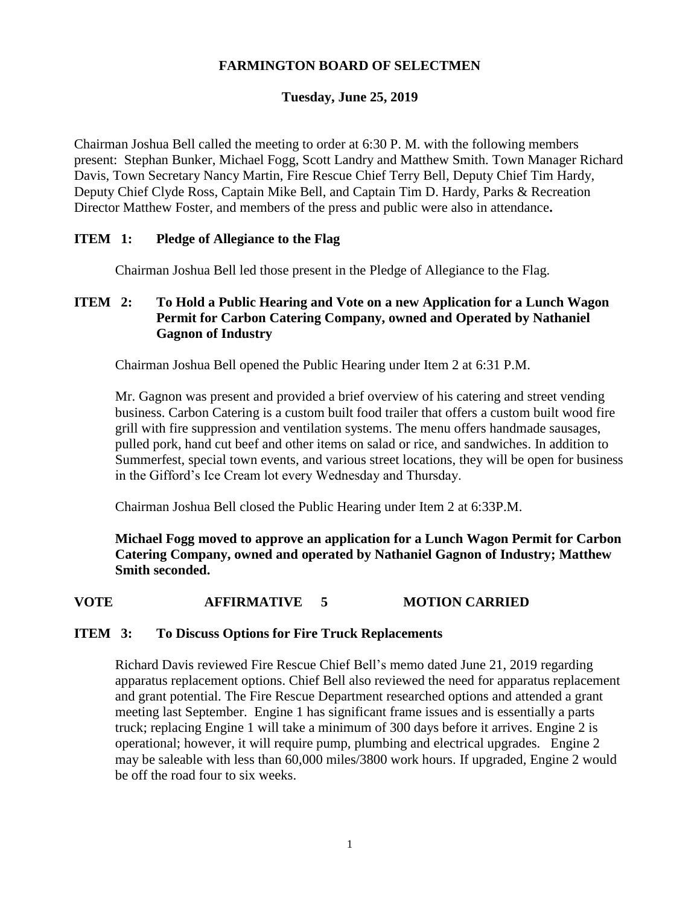### **FARMINGTON BOARD OF SELECTMEN**

#### **Tuesday, June 25, 2019**

Chairman Joshua Bell called the meeting to order at 6:30 P. M. with the following members present: Stephan Bunker, Michael Fogg, Scott Landry and Matthew Smith. Town Manager Richard Davis, Town Secretary Nancy Martin, Fire Rescue Chief Terry Bell, Deputy Chief Tim Hardy, Deputy Chief Clyde Ross, Captain Mike Bell, and Captain Tim D. Hardy, Parks & Recreation Director Matthew Foster, and members of the press and public were also in attendance**.**

### **ITEM 1: Pledge of Allegiance to the Flag**

Chairman Joshua Bell led those present in the Pledge of Allegiance to the Flag.

### **ITEM 2: To Hold a Public Hearing and Vote on a new Application for a Lunch Wagon Permit for Carbon Catering Company, owned and Operated by Nathaniel Gagnon of Industry**

Chairman Joshua Bell opened the Public Hearing under Item 2 at 6:31 P.M.

Mr. Gagnon was present and provided a brief overview of his catering and street vending business. Carbon Catering is a custom built food trailer that offers a custom built wood fire grill with fire suppression and ventilation systems. The menu offers handmade sausages, pulled pork, hand cut beef and other items on salad or rice, and sandwiches. In addition to Summerfest, special town events, and various street locations, they will be open for business in the Gifford's Ice Cream lot every Wednesday and Thursday.

Chairman Joshua Bell closed the Public Hearing under Item 2 at 6:33P.M.

**Michael Fogg moved to approve an application for a Lunch Wagon Permit for Carbon Catering Company, owned and operated by Nathaniel Gagnon of Industry; Matthew Smith seconded.**

#### **VOTE AFFIRMATIVE 5 MOTION CARRIED**

#### **ITEM 3: To Discuss Options for Fire Truck Replacements**

Richard Davis reviewed Fire Rescue Chief Bell's memo dated June 21, 2019 regarding apparatus replacement options. Chief Bell also reviewed the need for apparatus replacement and grant potential. The Fire Rescue Department researched options and attended a grant meeting last September. Engine 1 has significant frame issues and is essentially a parts truck; replacing Engine 1 will take a minimum of 300 days before it arrives. Engine 2 is operational; however, it will require pump, plumbing and electrical upgrades. Engine 2 may be saleable with less than 60,000 miles/3800 work hours. If upgraded, Engine 2 would be off the road four to six weeks.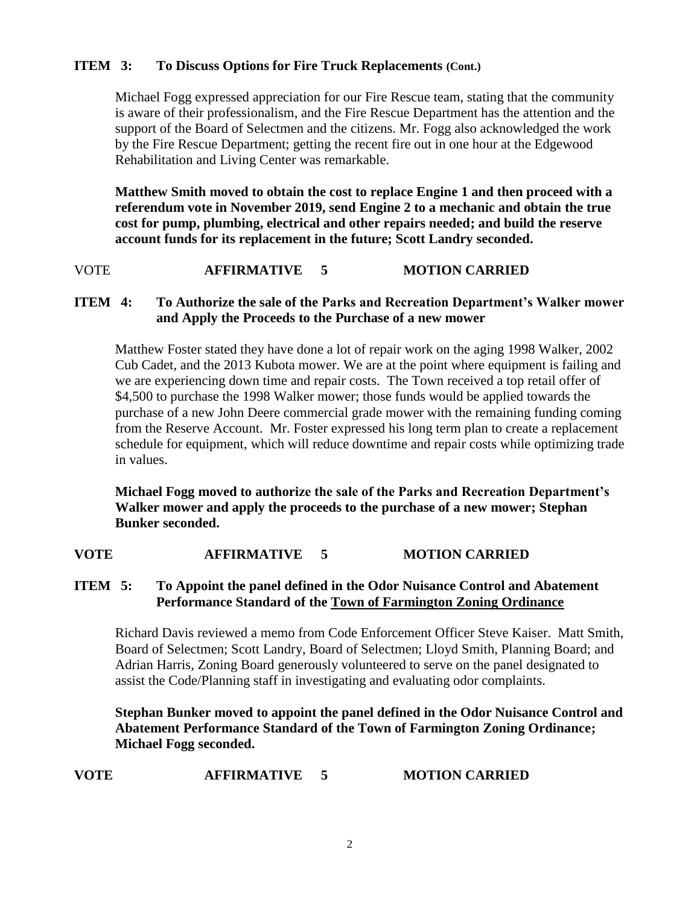# **ITEM 3: To Discuss Options for Fire Truck Replacements (Cont.)**

Michael Fogg expressed appreciation for our Fire Rescue team, stating that the community is aware of their professionalism, and the Fire Rescue Department has the attention and the support of the Board of Selectmen and the citizens. Mr. Fogg also acknowledged the work by the Fire Rescue Department; getting the recent fire out in one hour at the Edgewood Rehabilitation and Living Center was remarkable.

**Matthew Smith moved to obtain the cost to replace Engine 1 and then proceed with a referendum vote in November 2019, send Engine 2 to a mechanic and obtain the true cost for pump, plumbing, electrical and other repairs needed; and build the reserve account funds for its replacement in the future; Scott Landry seconded.**

VOTE **AFFIRMATIVE 5 MOTION CARRIED**

#### **ITEM 4: To Authorize the sale of the Parks and Recreation Department's Walker mower and Apply the Proceeds to the Purchase of a new mower**

Matthew Foster stated they have done a lot of repair work on the aging 1998 Walker, 2002 Cub Cadet, and the 2013 Kubota mower. We are at the point where equipment is failing and we are experiencing down time and repair costs. The Town received a top retail offer of \$4,500 to purchase the 1998 Walker mower; those funds would be applied towards the purchase of a new John Deere commercial grade mower with the remaining funding coming from the Reserve Account. Mr. Foster expressed his long term plan to create a replacement schedule for equipment, which will reduce downtime and repair costs while optimizing trade in values.

**Michael Fogg moved to authorize the sale of the Parks and Recreation Department's Walker mower and apply the proceeds to the purchase of a new mower; Stephan Bunker seconded.**

#### **VOTE AFFIRMATIVE 5 MOTION CARRIED**

## **ITEM 5: To Appoint the panel defined in the Odor Nuisance Control and Abatement Performance Standard of the Town of Farmington Zoning Ordinance**

Richard Davis reviewed a memo from Code Enforcement Officer Steve Kaiser. Matt Smith, Board of Selectmen; Scott Landry, Board of Selectmen; Lloyd Smith, Planning Board; and Adrian Harris, Zoning Board generously volunteered to serve on the panel designated to assist the Code/Planning staff in investigating and evaluating odor complaints.

**Stephan Bunker moved to appoint the panel defined in the Odor Nuisance Control and Abatement Performance Standard of the Town of Farmington Zoning Ordinance; Michael Fogg seconded.**

| <b>MOTION CARRIED</b><br><b>AFFIRMATIVE</b><br>VOTE |  |
|-----------------------------------------------------|--|
|-----------------------------------------------------|--|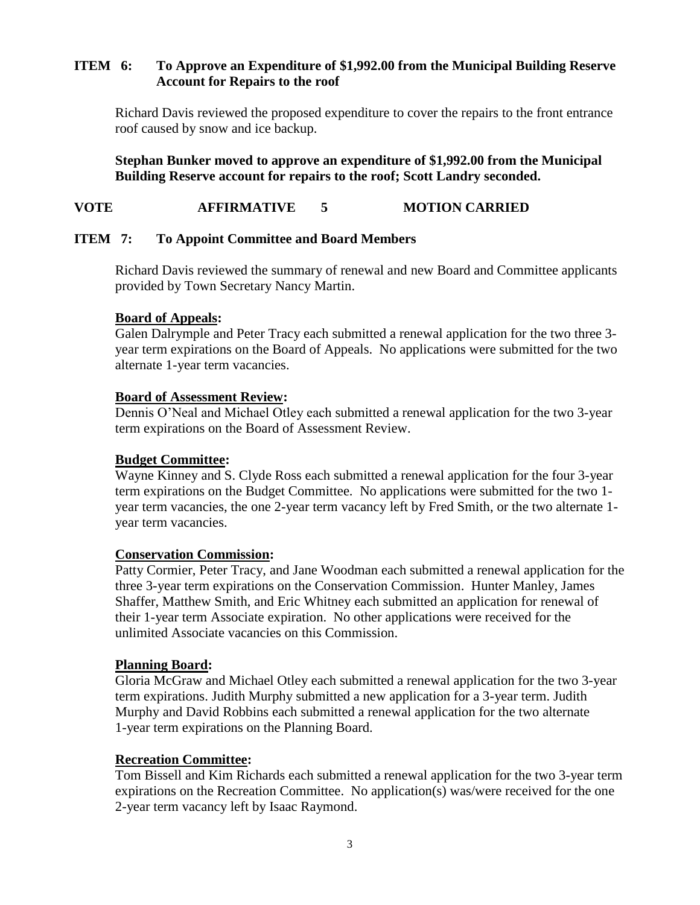### **ITEM 6: To Approve an Expenditure of \$1,992.00 from the Municipal Building Reserve Account for Repairs to the roof**

Richard Davis reviewed the proposed expenditure to cover the repairs to the front entrance roof caused by snow and ice backup.

**Stephan Bunker moved to approve an expenditure of \$1,992.00 from the Municipal Building Reserve account for repairs to the roof; Scott Landry seconded.**

## **VOTE AFFIRMATIVE 5 MOTION CARRIED**

### **ITEM 7: To Appoint Committee and Board Members**

Richard Davis reviewed the summary of renewal and new Board and Committee applicants provided by Town Secretary Nancy Martin.

### **Board of Appeals:**

Galen Dalrymple and Peter Tracy each submitted a renewal application for the two three 3 year term expirations on the Board of Appeals. No applications were submitted for the two alternate 1-year term vacancies.

### **Board of Assessment Review:**

Dennis O'Neal and Michael Otley each submitted a renewal application for the two 3-year term expirations on the Board of Assessment Review.

### **Budget Committee:**

Wayne Kinney and S. Clyde Ross each submitted a renewal application for the four 3-year term expirations on the Budget Committee. No applications were submitted for the two 1 year term vacancies, the one 2-year term vacancy left by Fred Smith, or the two alternate 1 year term vacancies.

#### **Conservation Commission:**

Patty Cormier, Peter Tracy, and Jane Woodman each submitted a renewal application for the three 3-year term expirations on the Conservation Commission. Hunter Manley, James Shaffer, Matthew Smith, and Eric Whitney each submitted an application for renewal of their 1-year term Associate expiration. No other applications were received for the unlimited Associate vacancies on this Commission.

#### **Planning Board:**

Gloria McGraw and Michael Otley each submitted a renewal application for the two 3-year term expirations. Judith Murphy submitted a new application for a 3-year term. Judith Murphy and David Robbins each submitted a renewal application for the two alternate 1-year term expirations on the Planning Board.

#### **Recreation Committee:**

Tom Bissell and Kim Richards each submitted a renewal application for the two 3-year term expirations on the Recreation Committee. No application(s) was/were received for the one 2-year term vacancy left by Isaac Raymond.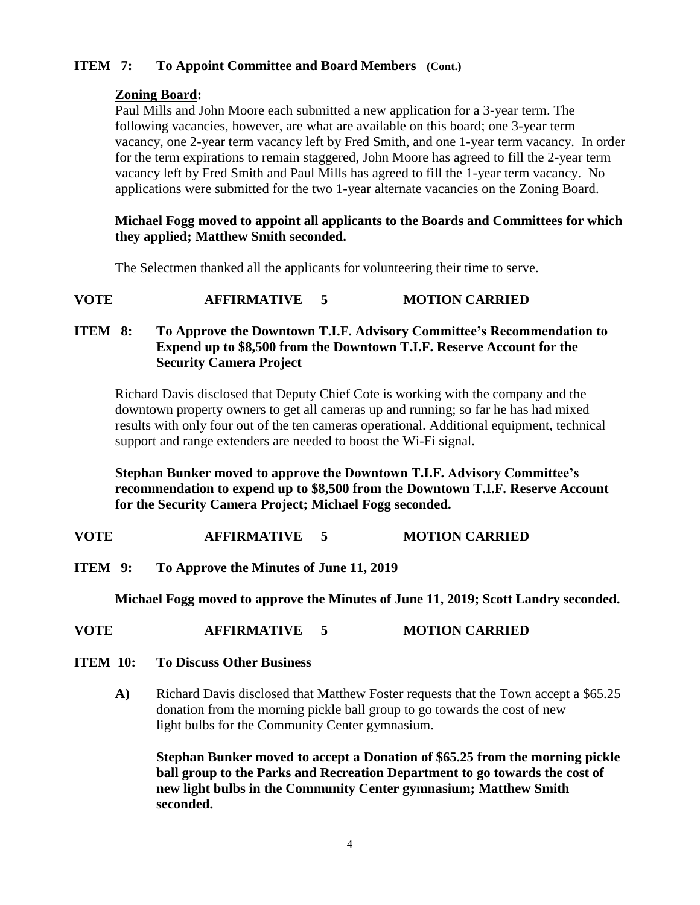# **ITEM 7: To Appoint Committee and Board Members (Cont.)**

### **Zoning Board:**

Paul Mills and John Moore each submitted a new application for a 3-year term. The following vacancies, however, are what are available on this board; one 3-year term vacancy, one 2-year term vacancy left by Fred Smith, and one 1-year term vacancy. In order for the term expirations to remain staggered, John Moore has agreed to fill the 2-year term vacancy left by Fred Smith and Paul Mills has agreed to fill the 1-year term vacancy. No applications were submitted for the two 1-year alternate vacancies on the Zoning Board.

#### **Michael Fogg moved to appoint all applicants to the Boards and Committees for which they applied; Matthew Smith seconded.**

The Selectmen thanked all the applicants for volunteering their time to serve.

**VOTE AFFIRMATIVE 5 MOTION CARRIED**

### **ITEM 8: To Approve the Downtown T.I.F. Advisory Committee's Recommendation to Expend up to \$8,500 from the Downtown T.I.F. Reserve Account for the Security Camera Project**

Richard Davis disclosed that Deputy Chief Cote is working with the company and the downtown property owners to get all cameras up and running; so far he has had mixed results with only four out of the ten cameras operational. Additional equipment, technical support and range extenders are needed to boost the Wi-Fi signal.

**Stephan Bunker moved to approve the Downtown T.I.F. Advisory Committee's recommendation to expend up to \$8,500 from the Downtown T.I.F. Reserve Account for the Security Camera Project; Michael Fogg seconded.**

**VOTE AFFIRMATIVE 5 MOTION CARRIED**

**ITEM 9: To Approve the Minutes of June 11, 2019**

**Michael Fogg moved to approve the Minutes of June 11, 2019; Scott Landry seconded.**

- **VOTE AFFIRMATIVE 5 MOTION CARRIED**
- **ITEM 10: To Discuss Other Business**
	- **A)** Richard Davis disclosed that Matthew Foster requests that the Town accept a \$65.25 donation from the morning pickle ball group to go towards the cost of new light bulbs for the Community Center gymnasium.

**Stephan Bunker moved to accept a Donation of \$65.25 from the morning pickle ball group to the Parks and Recreation Department to go towards the cost of new light bulbs in the Community Center gymnasium; Matthew Smith seconded.**